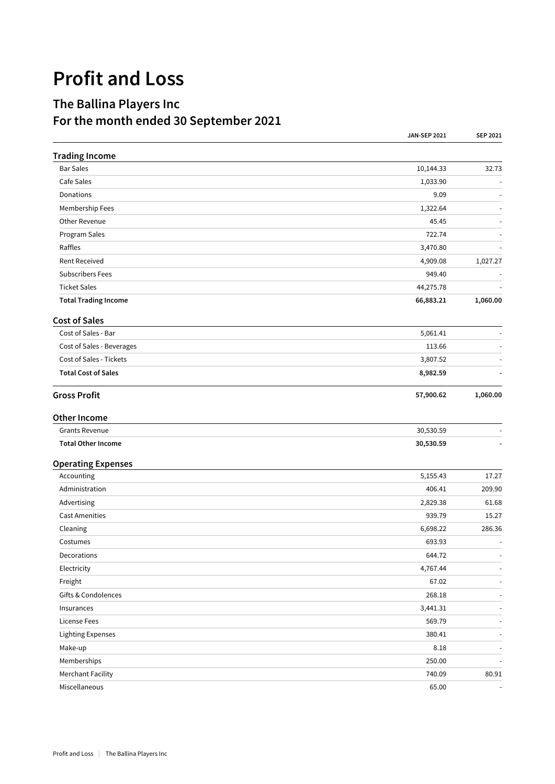## **Profit and Loss**

## **The Ballina Players Inc For the month ended 30 September 2021**

|                             | <b>JAN-SEP 2021</b> | SEP 2021                 |
|-----------------------------|---------------------|--------------------------|
| <b>Trading Income</b>       |                     |                          |
| <b>Bar Sales</b>            | 10,144.33           | 32.73                    |
| Cafe Sales                  | 1,033.90            |                          |
| Donations                   | 9.09                |                          |
| Membership Fees             | 1,322.64            |                          |
| Other Revenue               | 45.45               |                          |
| Program Sales               | 722.74              |                          |
| Raffles                     | 3,470.80            |                          |
| <b>Rent Received</b>        | 4,909.08            | 1,027.27                 |
| <b>Subscribers Fees</b>     | 949.40              |                          |
| <b>Ticket Sales</b>         | 44,275.78           |                          |
| <b>Total Trading Income</b> | 66,883.21           | 1,060.00                 |
| <b>Cost of Sales</b>        |                     |                          |
| Cost of Sales - Bar         | 5,061.41            |                          |
| Cost of Sales - Beverages   | 113.66              |                          |
| Cost of Sales - Tickets     | 3,807.52            |                          |
| <b>Total Cost of Sales</b>  | 8,982.59            |                          |
| <b>Gross Profit</b>         | 57,900.62           | 1,060.00                 |
| <b>Other Income</b>         |                     |                          |
| <b>Grants Revenue</b>       | 30,530.59           |                          |
| <b>Total Other Income</b>   | 30,530.59           |                          |
| <b>Operating Expenses</b>   |                     |                          |
| Accounting                  | 5,155.43            | 17.27                    |
| Administration              | 406.41              | 209.90                   |
| Advertising                 | 2,829.38            | 61.68                    |
| <b>Cast Amenities</b>       | 939.79              | 15.27                    |
| Cleaning                    | 6,698.22            | 286.36                   |
| Costumes                    | 693.93              | $\overline{\phantom{a}}$ |
| Decorations                 | 644.72              | $\sim$                   |
| Electricity                 | 4,767.44            | $\sim$                   |
| Freight                     | 67.02               | $\overline{a}$           |
| Gifts & Condolences         | 268.18              | $\sim$                   |
| Insurances                  | 3,441.31            | $\sim$                   |
| <b>License Fees</b>         | 569.79              | $\blacksquare$           |
| <b>Lighting Expenses</b>    | 380.41              | $\blacksquare$           |
| Make-up                     | 8.18                |                          |
| Memberships                 | 250.00              |                          |
| <b>Merchant Facility</b>    | 740.09              | 80.91                    |
| Miscellaneous               | 65.00               |                          |